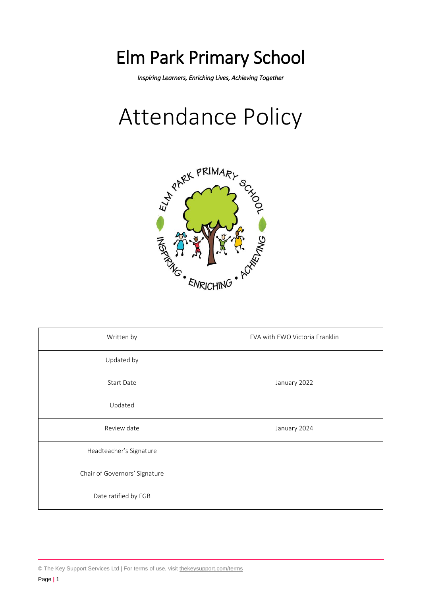## Elm Park Primary School

*Inspiring Learners, Enriching Lives, Achieving Together*

# Attendance Policy



| Written by                    | FVA with EWO Victoria Franklin |
|-------------------------------|--------------------------------|
| Updated by                    |                                |
| Start Date                    | January 2022                   |
| Updated                       |                                |
| Review date                   | January 2024                   |
| Headteacher's Signature       |                                |
| Chair of Governors' Signature |                                |
| Date ratified by FGB          |                                |

<sup>©</sup> The Key Support Services Ltd | For terms of use, visit [thekeysupport.com/terms](https://thekeysupport.com/terms-of-use)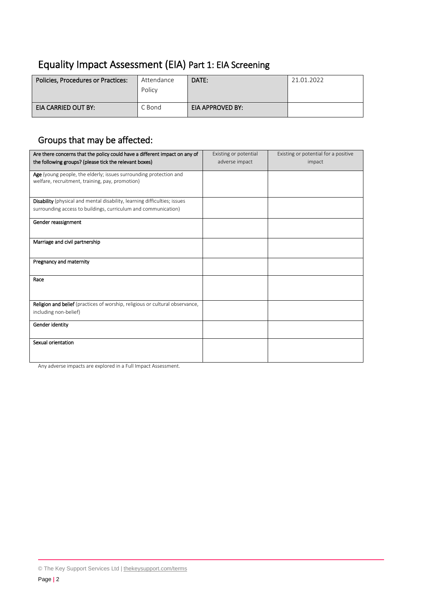## Equality Impact Assessment (EIA) Part 1: EIA Screening

| Policies, Procedures or Practices: | Attendance<br>Policy | DATE:            | 21.01.2022 |
|------------------------------------|----------------------|------------------|------------|
| EIA CARRIED OUT BY:                | C Bond               | EIA APPROVED BY: |            |

## Groups that may be affected:

| Are there concerns that the policy could have a different impact on any of<br>the following groups? (please tick the relevant boxes) | Existing or potential<br>adverse impact | Existing or potential for a positive<br>impact |
|--------------------------------------------------------------------------------------------------------------------------------------|-----------------------------------------|------------------------------------------------|
|                                                                                                                                      |                                         |                                                |
| Age (young people, the elderly; issues surrounding protection and<br>welfare, recruitment, training, pay, promotion)                 |                                         |                                                |
| <b>Disability</b> (physical and mental disability, learning difficulties; issues                                                     |                                         |                                                |
| surrounding access to buildings, curriculum and communication)                                                                       |                                         |                                                |
| Gender reassignment                                                                                                                  |                                         |                                                |
| Marriage and civil partnership                                                                                                       |                                         |                                                |
| Pregnancy and maternity                                                                                                              |                                         |                                                |
| Race                                                                                                                                 |                                         |                                                |
| Religion and belief (practices of worship, religious or cultural observance,<br>including non-belief)                                |                                         |                                                |
| Gender identity                                                                                                                      |                                         |                                                |
| Sexual orientation                                                                                                                   |                                         |                                                |

Any adverse impacts are explored in a Full Impact Assessment.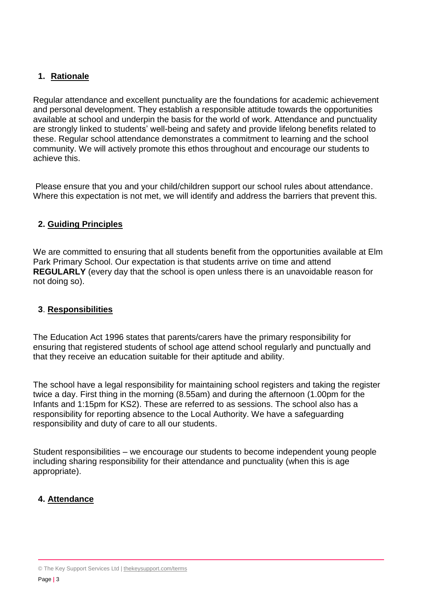#### **1. Rationale**

Regular attendance and excellent punctuality are the foundations for academic achievement and personal development. They establish a responsible attitude towards the opportunities available at school and underpin the basis for the world of work. Attendance and punctuality are strongly linked to students' well-being and safety and provide lifelong benefits related to these. Regular school attendance demonstrates a commitment to learning and the school community. We will actively promote this ethos throughout and encourage our students to achieve this.

Please ensure that you and your child/children support our school rules about attendance. Where this expectation is not met, we will identify and address the barriers that prevent this.

#### **2. Guiding Principles**

We are committed to ensuring that all students benefit from the opportunities available at Elm Park Primary School. Our expectation is that students arrive on time and attend **REGULARLY** (every day that the school is open unless there is an unavoidable reason for not doing so).

#### **3**. **Responsibilities**

The Education Act 1996 states that parents/carers have the primary responsibility for ensuring that registered students of school age attend school regularly and punctually and that they receive an education suitable for their aptitude and ability.

The school have a legal responsibility for maintaining school registers and taking the register twice a day. First thing in the morning (8.55am) and during the afternoon (1.00pm for the Infants and 1:15pm for KS2). These are referred to as sessions. The school also has a responsibility for reporting absence to the Local Authority. We have a safeguarding responsibility and duty of care to all our students.

Student responsibilities – we encourage our students to become independent young people including sharing responsibility for their attendance and punctuality (when this is age appropriate).

#### **4. Attendance**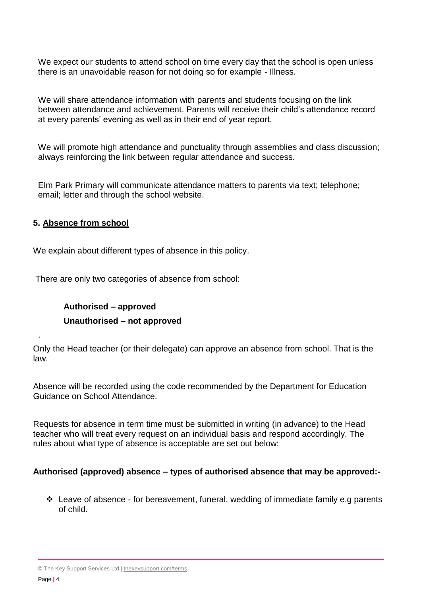We expect our students to attend school on time every day that the school is open unless there is an unavoidable reason for not doing so for example - Illness.

We will share attendance information with parents and students focusing on the link between attendance and achievement. Parents will receive their child's attendance record at every parents' evening as well as in their end of year report.

We will promote high attendance and punctuality through assemblies and class discussion; always reinforcing the link between regular attendance and success.

Elm Park Primary will communicate attendance matters to parents via text; telephone; email; letter and through the school website.

#### **5. Absence from school**

We explain about different types of absence in this policy.

There are only two categories of absence from school:

### **Authorised – approved Unauthorised – not approved**

Only the Head teacher (or their delegate) can approve an absence from school. That is the law.

Absence will be recorded using the code recommended by the Department for Education Guidance on School Attendance.

Requests for absence in term time must be submitted in writing (in advance) to the Head teacher who will treat every request on an individual basis and respond accordingly. The rules about what type of absence is acceptable are set out below:

#### **Authorised (approved) absence – types of authorised absence that may be approved:-**

 $\cdot$  Leave of absence - for bereavement, funeral, wedding of immediate family e.g parents of child.

.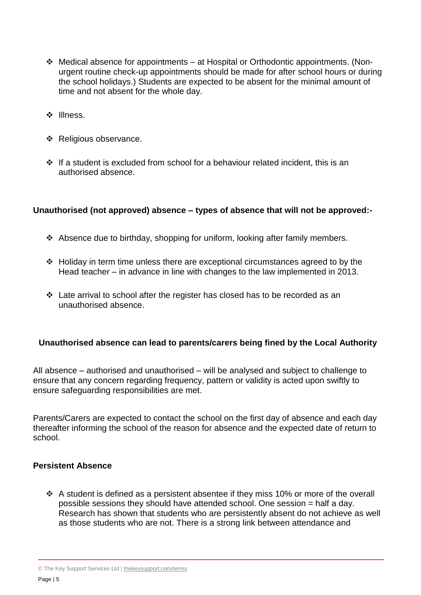- Medical absence for appointments at Hospital or Orthodontic appointments. (Nonurgent routine check-up appointments should be made for after school hours or during the school holidays.) Students are expected to be absent for the minimal amount of time and not absent for the whole day.
- ❖ Illness.
- ❖ Religious observance.
- $\cdot \cdot$  If a student is excluded from school for a behaviour related incident, this is an authorised absence.

#### **Unauthorised (not approved) absence – types of absence that will not be approved:-**

- $\div$  Absence due to birthday, shopping for uniform, looking after family members.
- Holiday in term time unless there are exceptional circumstances agreed to by the Head teacher – in advance in line with changes to the law implemented in 2013.
- $\cdot$  Late arrival to school after the register has closed has to be recorded as an unauthorised absence.

#### **Unauthorised absence can lead to parents/carers being fined by the Local Authority**

All absence – authorised and unauthorised – will be analysed and subject to challenge to ensure that any concern regarding frequency, pattern or validity is acted upon swiftly to ensure safeguarding responsibilities are met.

Parents/Carers are expected to contact the school on the first day of absence and each day thereafter informing the school of the reason for absence and the expected date of return to school.

#### **Persistent Absence**

 $\div$  A student is defined as a persistent absentee if they miss 10% or more of the overall possible sessions they should have attended school. One session = half a day. Research has shown that students who are persistently absent do not achieve as well as those students who are not. There is a strong link between attendance and

<sup>©</sup> The Key Support Services Ltd | [thekeysupport.com/terms](https://thekeysupport.com/terms-of-use)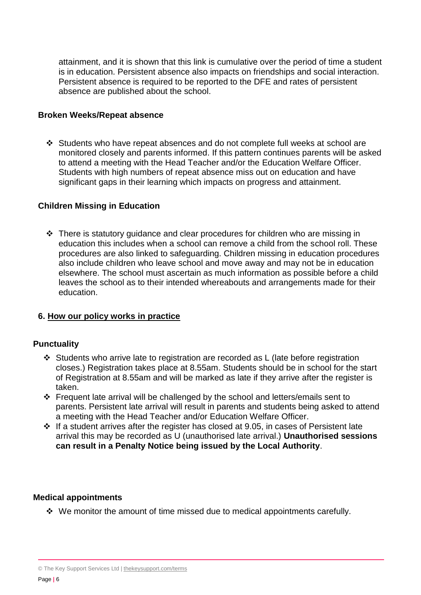attainment, and it is shown that this link is cumulative over the period of time a student is in education. Persistent absence also impacts on friendships and social interaction. Persistent absence is required to be reported to the DFE and rates of persistent absence are published about the school.

#### **Broken Weeks/Repeat absence**

 Students who have repeat absences and do not complete full weeks at school are monitored closely and parents informed. If this pattern continues parents will be asked to attend a meeting with the Head Teacher and/or the Education Welfare Officer. Students with high numbers of repeat absence miss out on education and have significant gaps in their learning which impacts on progress and attainment.

#### **Children Missing in Education**

 There is statutory guidance and clear procedures for children who are missing in education this includes when a school can remove a child from the school roll. These procedures are also linked to safeguarding. Children missing in education procedures also include children who leave school and move away and may not be in education elsewhere. The school must ascertain as much information as possible before a child leaves the school as to their intended whereabouts and arrangements made for their education.

#### **6. How our policy works in practice**

#### **Punctuality**

- Students who arrive late to registration are recorded as L (late before registration closes.) Registration takes place at 8.55am. Students should be in school for the start of Registration at 8.55am and will be marked as late if they arrive after the register is taken.
- Frequent late arrival will be challenged by the school and letters/emails sent to parents. Persistent late arrival will result in parents and students being asked to attend a meeting with the Head Teacher and/or Education Welfare Officer.
- $\cdot$  If a student arrives after the register has closed at 9.05, in cases of Persistent late arrival this may be recorded as U (unauthorised late arrival.) **Unauthorised sessions can result in a Penalty Notice being issued by the Local Authority**.

#### **Medical appointments**

 $\cdot$  We monitor the amount of time missed due to medical appointments carefully.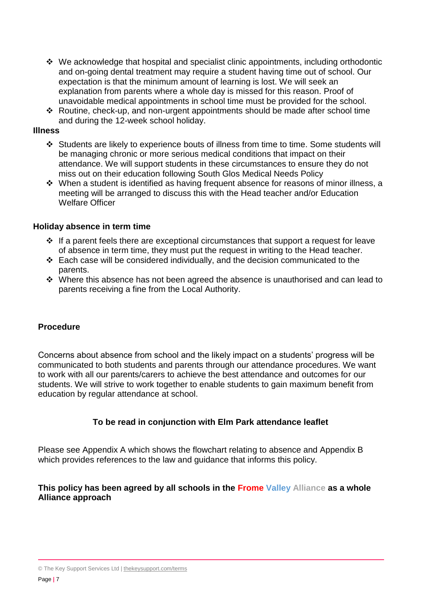- We acknowledge that hospital and specialist clinic appointments, including orthodontic and on-going dental treatment may require a student having time out of school. Our expectation is that the minimum amount of learning is lost. We will seek an explanation from parents where a whole day is missed for this reason. Proof of unavoidable medical appointments in school time must be provided for the school.
- Routine, check-up, and non-urgent appointments should be made after school time and during the 12-week school holiday.

#### **Illness**

- Students are likely to experience bouts of illness from time to time. Some students will be managing chronic or more serious medical conditions that impact on their attendance. We will support students in these circumstances to ensure they do not miss out on their education following South Glos Medical Needs Policy
- $\cdot$  When a student is identified as having frequent absence for reasons of minor illness, a meeting will be arranged to discuss this with the Head teacher and/or Education Welfare Officer

#### **Holiday absence in term time**

- $\cdot$  If a parent feels there are exceptional circumstances that support a request for leave of absence in term time, they must put the request in writing to the Head teacher.
- $\div$  Each case will be considered individually, and the decision communicated to the parents.
- $\cdot$  Where this absence has not been agreed the absence is unauthorised and can lead to parents receiving a fine from the Local Authority.

#### **Procedure**

Concerns about absence from school and the likely impact on a students' progress will be communicated to both students and parents through our attendance procedures. We want to work with all our parents/carers to achieve the best attendance and outcomes for our students. We will strive to work together to enable students to gain maximum benefit from education by regular attendance at school.

#### **To be read in conjunction with Elm Park attendance leaflet**

Please see Appendix A which shows the flowchart relating to absence and Appendix B which provides references to the law and guidance that informs this policy.

#### **This policy has been agreed by all schools in the Frome Valley Alliance as a whole Alliance approach**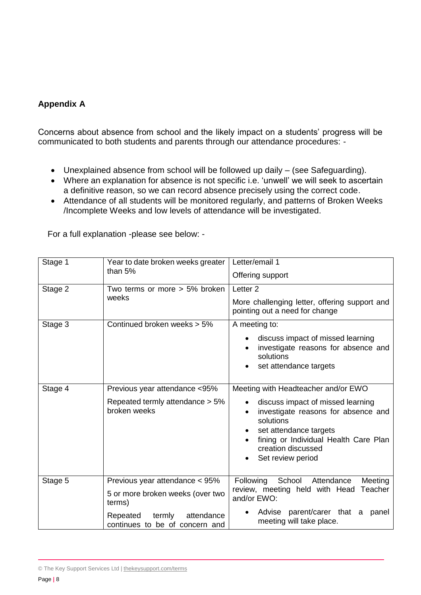#### **Appendix A**

Concerns about absence from school and the likely impact on a students' progress will be communicated to both students and parents through our attendance procedures: -

- Unexplained absence from school will be followed up daily (see Safeguarding).
- Where an explanation for absence is not specific i.e. 'unwell' we will seek to ascertain a definitive reason, so we can record absence precisely using the correct code.
- Attendance of all students will be monitored regularly, and patterns of Broken Weeks /Incomplete Weeks and low levels of attendance will be investigated.

| Stage 1 | Year to date broken weeks greater<br>than 5%                                                                                                       | Letter/email 1<br>Offering support                                                                                                                                                                                                         |
|---------|----------------------------------------------------------------------------------------------------------------------------------------------------|--------------------------------------------------------------------------------------------------------------------------------------------------------------------------------------------------------------------------------------------|
| Stage 2 | Two terms or more $> 5\%$ broken<br>weeks                                                                                                          | Letter <sub>2</sub><br>More challenging letter, offering support and<br>pointing out a need for change                                                                                                                                     |
| Stage 3 | Continued broken weeks > 5%                                                                                                                        | A meeting to:<br>discuss impact of missed learning<br>investigate reasons for absence and<br>solutions<br>set attendance targets                                                                                                           |
| Stage 4 | Previous year attendance <95%<br>Repeated termly attendance > 5%<br>broken weeks                                                                   | Meeting with Headteacher and/or EWO<br>discuss impact of missed learning<br>investigate reasons for absence and<br>solutions<br>set attendance targets<br>fining or Individual Health Care Plan<br>creation discussed<br>Set review period |
| Stage 5 | Previous year attendance < 95%<br>5 or more broken weeks (over two<br>terms)<br>Repeated<br>termly<br>attendance<br>continues to be of concern and | Following<br>School<br>Attendance<br>Meeting<br>review, meeting held with Head<br>Teacher<br>and/or EWO:<br>Advise parent/carer that a<br>panel<br>meeting will take place.                                                                |

For a full explanation -please see below: -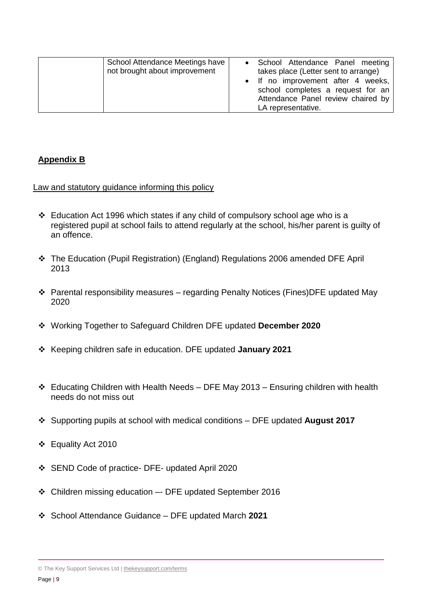| School Attendance Meetings have<br>not brought about improvement | • School Attendance Panel meeting<br>takes place (Letter sent to arrange) |
|------------------------------------------------------------------|---------------------------------------------------------------------------|
|                                                                  | • If no improvement after 4 weeks,<br>school completes a request for an   |
|                                                                  | Attendance Panel review chaired by<br>LA representative.                  |

#### **Appendix B**

Law and statutory guidance informing this policy

- $\div$  Education Act 1996 which states if any child of compulsory school age who is a registered pupil at school fails to attend regularly at the school, his/her parent is guilty of an offence.
- The Education (Pupil Registration) (England) Regulations 2006 amended DFE April 2013
- Parental responsibility measures regarding Penalty Notices (Fines)DFE updated May 2020
- Working Together to Safeguard Children DFE updated **December 2020**
- Keeping children safe in education. DFE updated **January 2021**
- $\div$  Educating Children with Health Needs DFE May 2013 Ensuring children with health needs do not miss out
- Supporting pupils at school with medical conditions DFE updated **August 2017**
- Equality Act 2010
- SEND Code of practice- DFE- updated April 2020
- Children missing education –- DFE updated September 2016
- School Attendance Guidance DFE updated March **2021**

<sup>©</sup> The Key Support Services Ltd | [thekeysupport.com/terms](https://thekeysupport.com/terms-of-use)